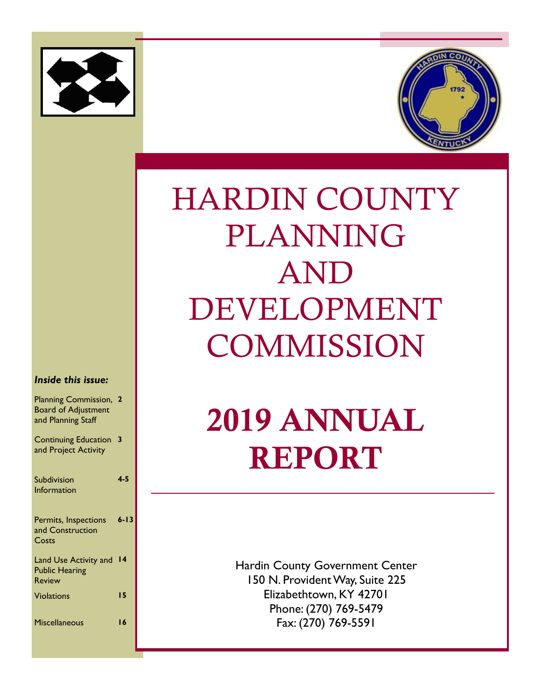



# HARDIN COUNTY PLANNING AND DEVELOPMENT **COMMISSION**

# 2019 ANNUAL REPORT

Hardin County Government Center 150 N. Provident Way, Suite 225 Elizabethtown, KY 42701 Phone: (270) 769-5479 Fax: (270) 769-5591

#### *Inside this issue:*

| Planning Commission,<br><b>Board of Adjustment</b><br>and Planning Staff |          |
|--------------------------------------------------------------------------|----------|
| <b>Continuing Education</b><br>and Project Activity                      | 3        |
| Subdivision                                                              | $4 - 5$  |
| Information                                                              |          |
| Permits, Inspections<br>and Construction<br>Costs                        | $6 - 13$ |
| Land Use Activity and<br><b>Public Hearing</b><br><b>Review</b>          | 14       |
| <b>Violations</b>                                                        | 15       |
| <b>Miscellaneous</b>                                                     | 16       |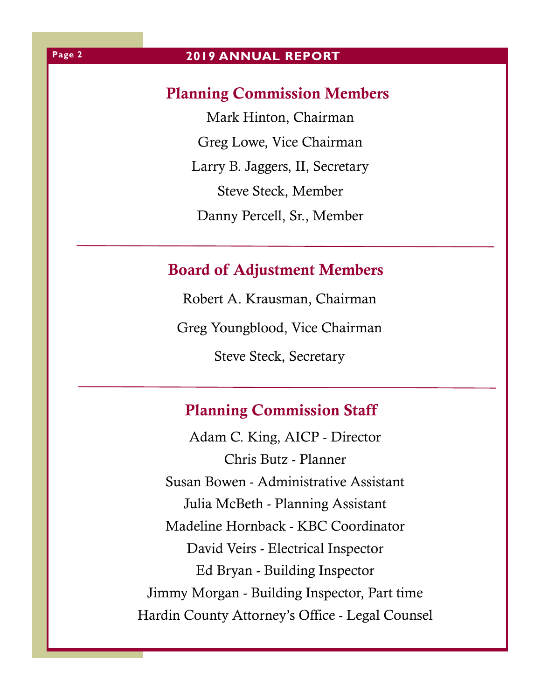## Planning Commission Members

Mark Hinton, Chairman Greg Lowe, Vice Chairman Larry B. Jaggers, II, Secretary Steve Steck, Member Danny Percell, Sr., Member

# Board of Adjustment Members

Robert A. Krausman, Chairman Greg Youngblood, Vice Chairman Steve Steck, Secretary

# Planning Commission Staff

Adam C. King, AICP - Director Chris Butz - Planner Susan Bowen - Administrative Assistant Julia McBeth - Planning Assistant Madeline Hornback - KBC Coordinator David Veirs - Electrical Inspector Ed Bryan - Building Inspector Jimmy Morgan - Building Inspector, Part time Hardin County Attorney's Office - Legal Counsel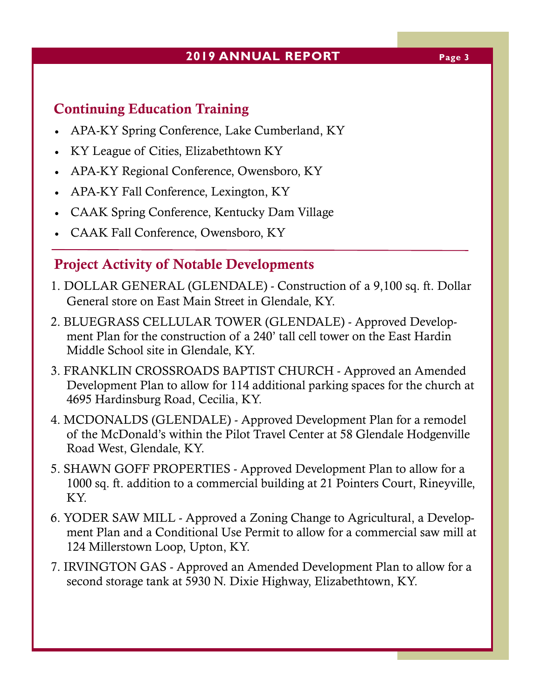## **2019 ANNUAL REPORT Page 3**

# Continuing Education Training

- APA-KY Spring Conference, Lake Cumberland, KY
- KY League of Cities, Elizabethtown KY
- APA-KY Regional Conference, Owensboro, KY
- APA-KY Fall Conference, Lexington, KY
- CAAK Spring Conference, Kentucky Dam Village
- CAAK Fall Conference, Owensboro, KY

## Project Activity of Notable Developments

- 1. DOLLAR GENERAL (GLENDALE) Construction of a 9,100 sq. ft. Dollar General store on East Main Street in Glendale, KY.
- 2. BLUEGRASS CELLULAR TOWER (GLENDALE) Approved Development Plan for the construction of a 240' tall cell tower on the East Hardin Middle School site in Glendale, KY.
- 3. FRANKLIN CROSSROADS BAPTIST CHURCH Approved an Amended Development Plan to allow for 114 additional parking spaces for the church at 4695 Hardinsburg Road, Cecilia, KY.
- 4. MCDONALDS (GLENDALE) Approved Development Plan for a remodel of the McDonald's within the Pilot Travel Center at 58 Glendale Hodgenville Road West, Glendale, KY.
- 5. SHAWN GOFF PROPERTIES Approved Development Plan to allow for a 1000 sq. ft. addition to a commercial building at 21 Pointers Court, Rineyville, KY.
- 6. YODER SAW MILL Approved a Zoning Change to Agricultural, a Development Plan and a Conditional Use Permit to allow for a commercial saw mill at 124 Millerstown Loop, Upton, KY.
- 7. IRVINGTON GAS Approved an Amended Development Plan to allow for a second storage tank at 5930 N. Dixie Highway, Elizabethtown, KY.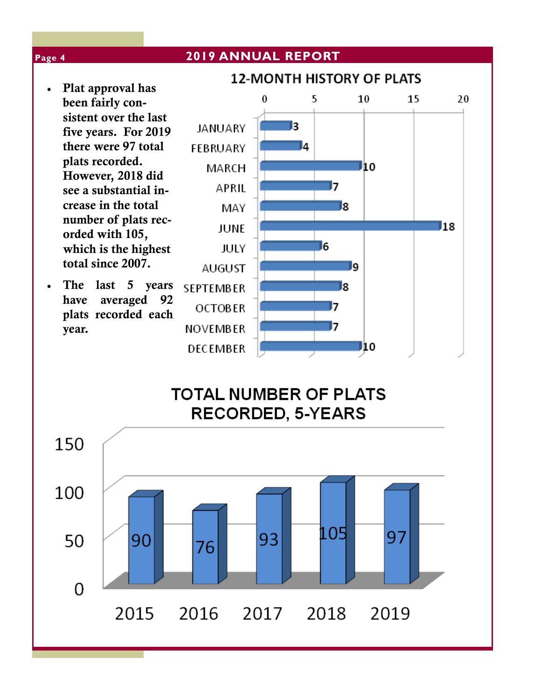#### **2019 ANNUAL REPORT Page 4 12-MONTH HISTORY OF PLATS**  Plat approval has 0 5 10 15 20 been fairly consistent over the last **JANUARY** lз five years. For 2019 there were 97 total **FEBRUARY** 4 plats recorded. J10 MARCH However, 2018 did 17 APRIL see a substantial increase in the total l8 MAY number of plats rec-I18 **JUNE** orded with 105, which is the highest 16 **JULY** total since 2007. **AUGUST** وا • The last 5 years l8 **SEPTEMBER** have averaged 92 17 **OCTOBER** plats recorded each 17 year. NOVEMBER **DECEMBER** J10 **TOTAL NUMBER OF PLATS RECORDED, 5-YEARS** 150

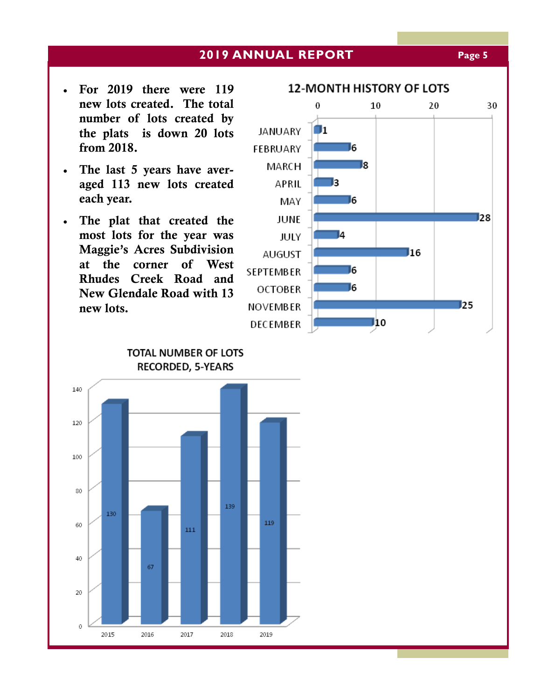#### **2019 ANNUAL REPORT Page 5**

- For 2019 there were 119 new lots created. The total number of lots created by the plats is down 20 lots from 2018.
- The last 5 years have averaged 113 new lots created each year.
- The plat that created the most lots for the year was Maggie's Acres Subdivision at the corner of West Rhudes Creek Road and New Glendale Road with 13 new lots.



TOTAL NUMBER OF LOTS RECORDED, 5-YEARS

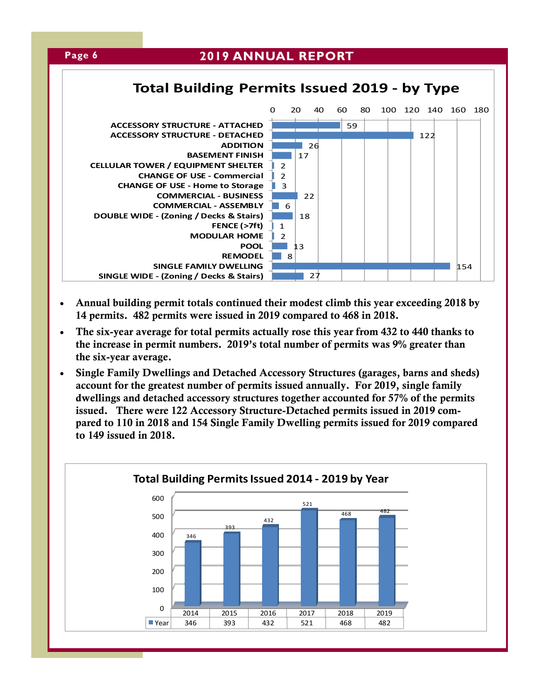

- Annual building permit totals continued their modest climb this year exceeding 2018 by 14 permits. 482 permits were issued in 2019 compared to 468 in 2018.
- The six-year average for total permits actually rose this year from 432 to 440 thanks to the increase in permit numbers. 2019's total number of permits was 9% greater than the six-year average.
- Single Family Dwellings and Detached Accessory Structures (garages, barns and sheds) account for the greatest number of permits issued annually. For 2019, single family dwellings and detached accessory structures together accounted for 57% of the permits issued. There were 122 Accessory Structure-Detached permits issued in 2019 compared to 110 in 2018 and 154 Single Family Dwelling permits issued for 2019 compared to 149 issued in 2018.

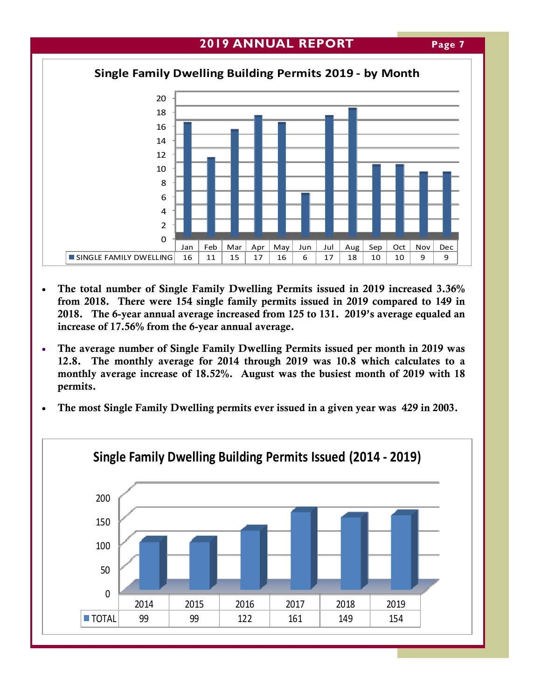**Page 7** 



- The total number of Single Family Dwelling Permits issued in 2019 increased 3.36% from 2018. There were 154 single family permits issued in 2019 compared to 149 in 2018. The 6-year annual average increased from 125 to 131. 2019's average equaled an increase of 17.56% from the 6-year annual average.
- The average number of Single Family Dwelling Permits issued per month in 2019 was 12.8. The monthly average for 2014 through 2019 was 10.8 which calculates to a monthly average increase of 18.52%. August was the busiest month of 2019 with 18 permits.
- The most Single Family Dwelling permits ever issued in a given year was 429 in 2003.

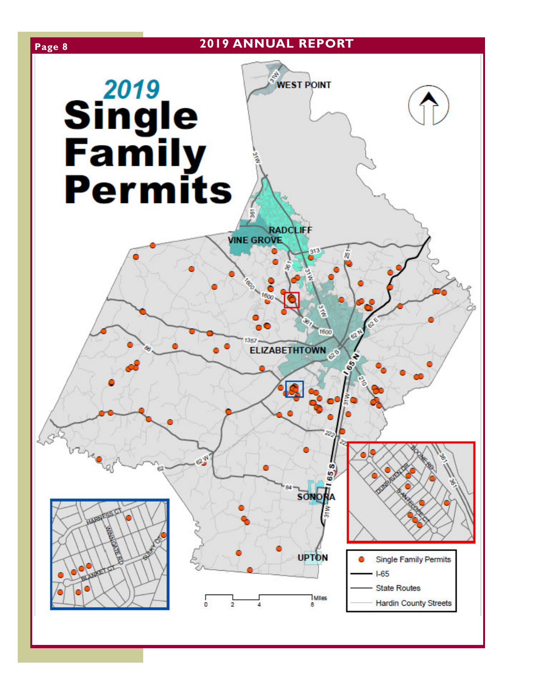# **Page 8 2019 ANNUAL REPORT**



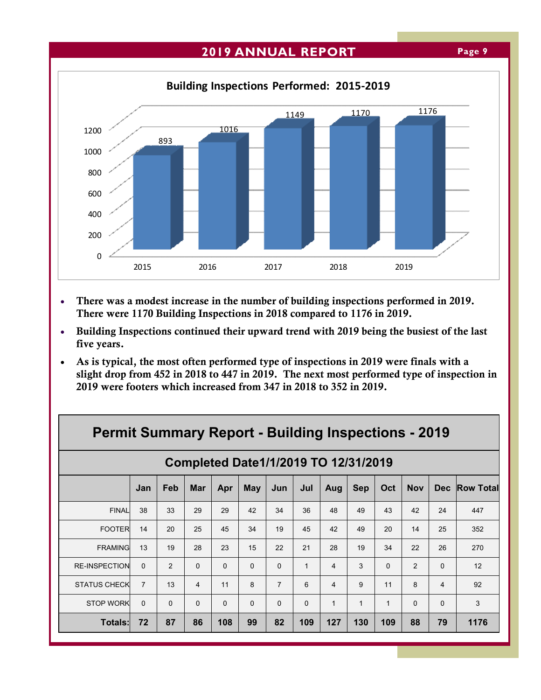#### **2019 ANNUAL REPORT Page 9**



- There was a modest increase in the number of building inspections performed in 2019. There were 1170 Building Inspections in 2018 compared to 1176 in 2019.
- Building Inspections continued their upward trend with 2019 being the busiest of the last five years.
- As is typical, the most often performed type of inspections in 2019 were finals with a slight drop from 452 in 2018 to 447 in 2019. The next most performed type of inspection in 2019 were footers which increased from 347 in 2018 to 352 in 2019.

| <b>Permit Summary Report - Building Inspections - 2019</b> |                                      |          |                |          |          |                |              |                |            |             |            |                |                  |
|------------------------------------------------------------|--------------------------------------|----------|----------------|----------|----------|----------------|--------------|----------------|------------|-------------|------------|----------------|------------------|
|                                                            | Completed Date1/1/2019 TO 12/31/2019 |          |                |          |          |                |              |                |            |             |            |                |                  |
|                                                            | Jan                                  | Feb      | <b>Mar</b>     | Apr      | May      | Jun            | Jul          | Aug            | <b>Sep</b> | Oct         | <b>Nov</b> | Dec.           | <b>Row Total</b> |
| <b>FINAL</b>                                               | 38                                   | 33       | 29             | 29       | 42       | 34             | 36           | 48             | 49         | 43          | 42         | 24             | 447              |
| <b>FOOTER</b>                                              | 14                                   | 20       | 25             | 45       | 34       | 19             | 45           | 42             | 49         | 20          | 14         | 25             | 352              |
| <b>FRAMING</b>                                             | 13                                   | 19       | 28             | 23       | 15       | 22             | 21           | 28             | 19         | 34          | 22         | 26             | 270              |
| <b>RE-INSPECTION</b>                                       | $\Omega$                             | 2        | $\Omega$       | $\Omega$ | $\Omega$ | $\Omega$       | $\mathbf{1}$ | $\overline{4}$ | 3          | $\Omega$    | 2          | $\Omega$       | 12               |
| <b>STATUS CHECK</b>                                        | $\overline{7}$                       | 13       | $\overline{4}$ | 11       | 8        | $\overline{7}$ | 6            | $\overline{4}$ | 9          | 11          | 8          | $\overline{4}$ | 92               |
| <b>STOP WORK</b>                                           | $\Omega$                             | $\Omega$ | $\Omega$       | $\Omega$ | $\Omega$ | $\Omega$       | $\Omega$     | $\mathbf{1}$   | 1          | $\mathbf 1$ | $\Omega$   | $\Omega$       | 3                |
| <b>Totals:</b>                                             | 72                                   | 87       | 86             | 108      | 99       | 82             | 109          | 127            | 130        | 109         | 88         | 79             | 1176             |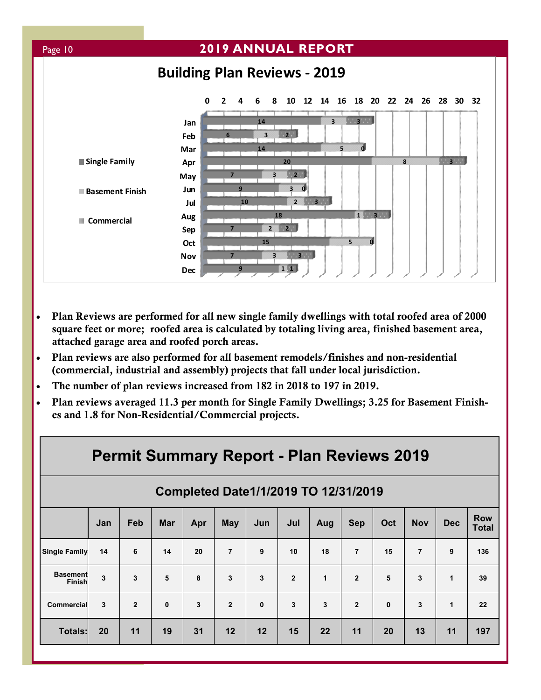

- Plan Reviews are performed for all new single family dwellings with total roofed area of 2000 square feet or more; roofed area is calculated by totaling living area, finished basement area, attached garage area and roofed porch areas.
- Plan reviews are also performed for all basement remodels/finishes and non-residential (commercial, industrial and assembly) projects that fall under local jurisdiction.
- The number of plan reviews increased from 182 in 2018 to 197 in 2019.
- Plan reviews averaged 11.3 per month for Single Family Dwellings; 3.25 for Basement Finishes and 1.8 for Non-Residential/Commercial projects.

| <b>Permit Summary Report - Plan Reviews 2019</b> |     |                |              |     |                |              |                |     |                |              |                |              |                            |
|--------------------------------------------------|-----|----------------|--------------|-----|----------------|--------------|----------------|-----|----------------|--------------|----------------|--------------|----------------------------|
| Completed Date1/1/2019 TO 12/31/2019             |     |                |              |     |                |              |                |     |                |              |                |              |                            |
|                                                  | Jan | Feb            | <b>Mar</b>   | Apr | <b>May</b>     | Jun          | Jul            | Aug | <b>Sep</b>     | Oct          | <b>Nov</b>     | <b>Dec</b>   | <b>Row</b><br><b>Total</b> |
| <b>Single Family</b>                             | 14  | 6              | 14           | 20  | $\overline{7}$ | 9            | 10             | 18  | $\overline{7}$ | 15           | $\overline{7}$ | 9            | 136                        |
| <b>Basement</b><br>Finish                        | 3   | 3              | 5            | 8   | 3              | 3            | $\overline{2}$ | 1   | $\overline{2}$ | 5            | 3              | 1            | 39                         |
| <b>Commercial</b>                                | 3   | $\overline{2}$ | $\mathbf{0}$ | 3   | $\overline{2}$ | $\mathbf{0}$ | 3              | 3   | $\overline{2}$ | $\mathbf{0}$ | 3              | $\mathbf{1}$ | 22                         |
| Totals:                                          | 20  | 11             | 19           | 31  | 12             | 12           | 15             | 22  | 11             | 20           | 13             | 11           | 197                        |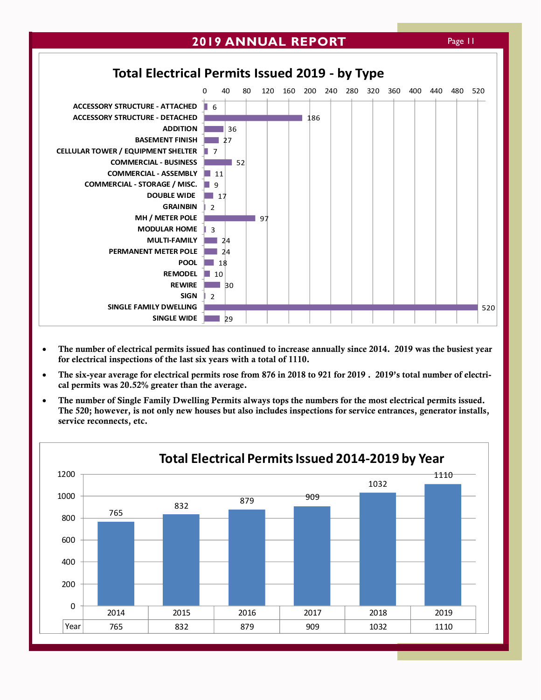

- The number of electrical permits issued has continued to increase annually since 2014. 2019 was the busiest year for electrical inspections of the last six years with a total of 1110.
- The six-year average for electrical permits rose from 876 in 2018 to 921 for 2019 . 2019's total number of electrical permits was 20.52% greater than the average.
- The number of Single Family Dwelling Permits always tops the numbers for the most electrical permits issued. The 520; however, is not only new houses but also includes inspections for service entrances, generator installs, service reconnects, etc.

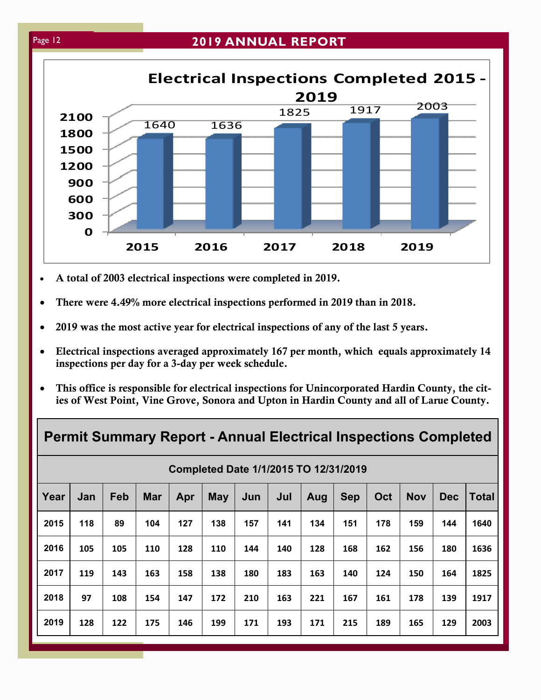### Page 12 **2019 ANNUAL REPORT**



- A total of 2003 electrical inspections were completed in 2019.
- There were 4.49% more electrical inspections performed in 2019 than in 2018.
- 2019 was the most active year for electrical inspections of any of the last 5 years.
- Electrical inspections averaged approximately 167 per month, which equals approximately 14 inspections per day for a 3-day per week schedule.
- This office is responsible for electrical inspections for Unincorporated Hardin County, the cities of West Point, Vine Grove, Sonora and Upton in Hardin County and all of Larue County.

|      | <b>Permit Summary Report - Annual Electrical Inspections Completed</b> |     |            |     |            |     |     |     |            |     |            |            |              |
|------|------------------------------------------------------------------------|-----|------------|-----|------------|-----|-----|-----|------------|-----|------------|------------|--------------|
|      | Completed Date 1/1/2015 TO 12/31/2019                                  |     |            |     |            |     |     |     |            |     |            |            |              |
| Year | Jan                                                                    | Feb | <b>Mar</b> | Apr | <b>May</b> | Jun | Jul | Aug | <b>Sep</b> | Oct | <b>Nov</b> | <b>Dec</b> | <b>Total</b> |
| 2015 | 118                                                                    | 89  | 104        | 127 | 138        | 157 | 141 | 134 | 151        | 178 | 159        | 144        | 1640         |
| 2016 | 105                                                                    | 105 | 110        | 128 | 110        | 144 | 140 | 128 | 168        | 162 | 156        | 180        | 1636         |
| 2017 | 119                                                                    | 143 | 163        | 158 | 138        | 180 | 183 | 163 | 140        | 124 | 150        | 164        | 1825         |
| 2018 | 97                                                                     | 108 | 154        | 147 | 172        | 210 | 163 | 221 | 167        | 161 | 178        | 139        | 1917         |
| 2019 | 128                                                                    | 122 | 175        | 146 | 199        | 171 | 193 | 171 | 215        | 189 | 165        | 129        | 2003         |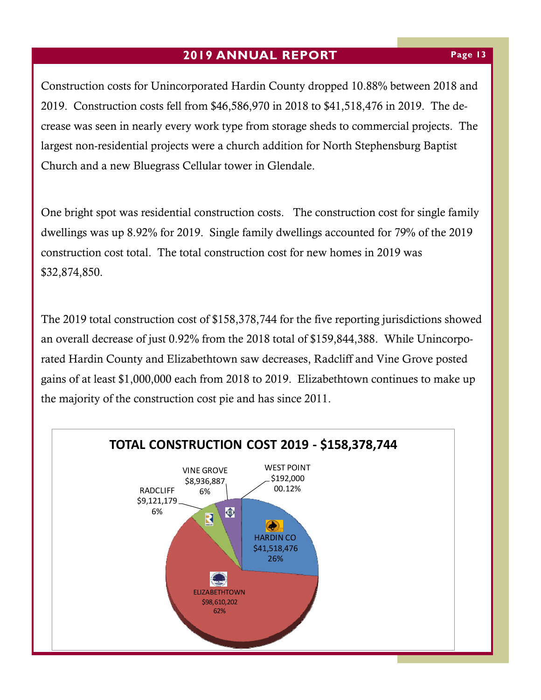Construction costs for Unincorporated Hardin County dropped 10.88% between 2018 and 2019. Construction costs fell from \$46,586,970 in 2018 to \$41,518,476 in 2019. The decrease was seen in nearly every work type from storage sheds to commercial projects. The largest non-residential projects were a church addition for North Stephensburg Baptist Church and a new Bluegrass Cellular tower in Glendale.

One bright spot was residential construction costs. The construction cost for single family dwellings was up 8.92% for 2019. Single family dwellings accounted for 79% of the 2019 construction cost total. The total construction cost for new homes in 2019 was \$32,874,850.

The 2019 total construction cost of \$158,378,744 for the five reporting jurisdictions showed an overall decrease of just 0.92% from the 2018 total of \$159,844,388. While Unincorporated Hardin County and Elizabethtown saw decreases, Radcliff and Vine Grove posted gains of at least \$1,000,000 each from 2018 to 2019. Elizabethtown continues to make up the majority of the construction cost pie and has since 2011.

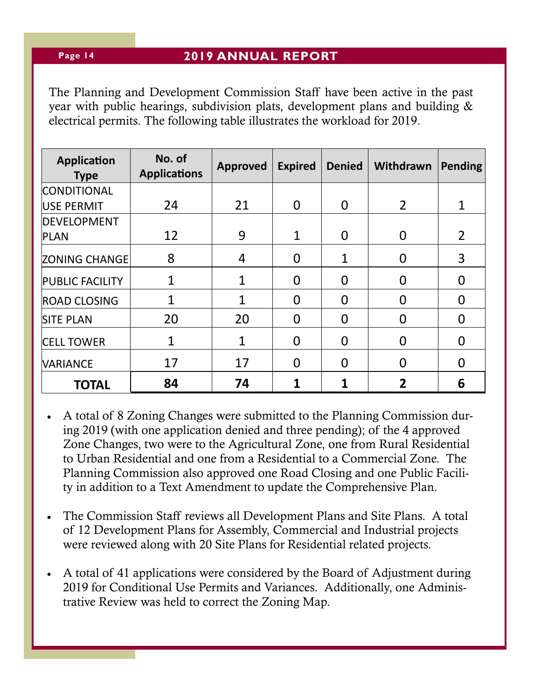#### **Page 14**

#### **2019 ANNUAL REPORT**

The Planning and Development Commission Staff have been active in the past year with public hearings, subdivision plats, development plans and building & electrical permits. The following table illustrates the workload for 2019.

| <b>Application</b><br><b>Type</b> | No. of<br><b>Applications</b> | <b>Approved</b> | <b>Expired</b> | <b>Denied</b> | Withdrawn | Pending        |
|-----------------------------------|-------------------------------|-----------------|----------------|---------------|-----------|----------------|
| <b>CONDITIONAL</b>                |                               |                 |                |               |           |                |
| USE PERMIT                        | 24                            | 21              | $\Omega$       | $\Omega$      | 2         | $\mathbf 1$    |
| <b>DEVELOPMENT</b>                |                               |                 |                |               |           |                |
| <b>PLAN</b>                       | 12                            | 9               | $\mathbf{1}$   | $\Omega$      | 0         | $\overline{2}$ |
| <b>ZONING CHANGE</b>              | 8                             | 4               | $\Omega$       | 1             | 0         | 3              |
| <b>PUBLIC FACILITY</b>            | $\mathbf 1$                   | 1               | $\Omega$       | O             | O         |                |
| <b>ROAD CLOSING</b>               | 1                             | $\mathbf{1}$    | $\Omega$       | $\Omega$      | 0         | O              |
| <b>SITE PLAN</b>                  | 20                            | 20              | $\Omega$       | 0             | 0         | O              |
| <b>CELL TOWER</b>                 | 1                             | 1               | $\Omega$       | O             | O         |                |
| <b>VARIANCE</b>                   | 17                            | 17              | $\Omega$       | O             | 0         | O              |
| <b>TOTAL</b>                      | 84                            | 74              |                |               | 2         | 6              |

- A total of 8 Zoning Changes were submitted to the Planning Commission during 2019 (with one application denied and three pending); of the 4 approved Zone Changes, two were to the Agricultural Zone, one from Rural Residential to Urban Residential and one from a Residential to a Commercial Zone. The Planning Commission also approved one Road Closing and one Public Facility in addition to a Text Amendment to update the Comprehensive Plan.
- The Commission Staff reviews all Development Plans and Site Plans. A total of 12 Development Plans for Assembly, Commercial and Industrial projects were reviewed along with 20 Site Plans for Residential related projects.
- A total of 41 applications were considered by the Board of Adjustment during 2019 for Conditional Use Permits and Variances. Additionally, one Administrative Review was held to correct the Zoning Map.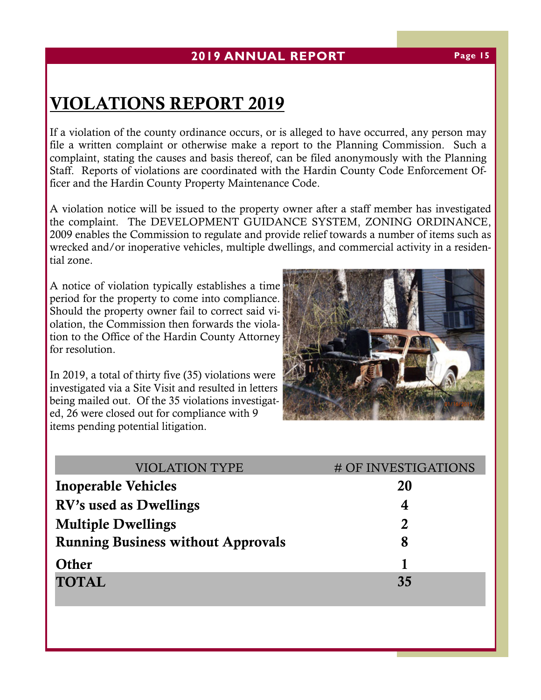# VIOLATIONS REPORT 2019

If a violation of the county ordinance occurs, or is alleged to have occurred, any person may file a written complaint or otherwise make a report to the Planning Commission. Such a complaint, stating the causes and basis thereof, can be filed anonymously with the Planning Staff. Reports of violations are coordinated with the Hardin County Code Enforcement Officer and the Hardin County Property Maintenance Code.

A violation notice will be issued to the property owner after a staff member has investigated the complaint. The DEVELOPMENT GUIDANCE SYSTEM, ZONING ORDINANCE, 2009 enables the Commission to regulate and provide relief towards a number of items such as wrecked and/or inoperative vehicles, multiple dwellings, and commercial activity in a residential zone.

A notice of violation typically establishes a time period for the property to come into compliance. Should the property owner fail to correct said violation, the Commission then forwards the violation to the Office of the Hardin County Attorney for resolution.

In 2019, a total of thirty five (35) violations were investigated via a Site Visit and resulted in letters being mailed out. Of the 35 violations investigated, 26 were closed out for compliance with 9 items pending potential litigation.



| <b>VIOLATION TYPE</b>                     | # OF INVESTIGATIONS |
|-------------------------------------------|---------------------|
| <b>Inoperable Vehicles</b>                | 20                  |
| RV's used as Dwellings                    | 4                   |
| <b>Multiple Dwellings</b>                 | $\overline{2}$      |
| <b>Running Business without Approvals</b> | 8                   |
| Other                                     |                     |
| <b>TOTAL</b>                              | 35                  |
|                                           |                     |

#### **Page 15**